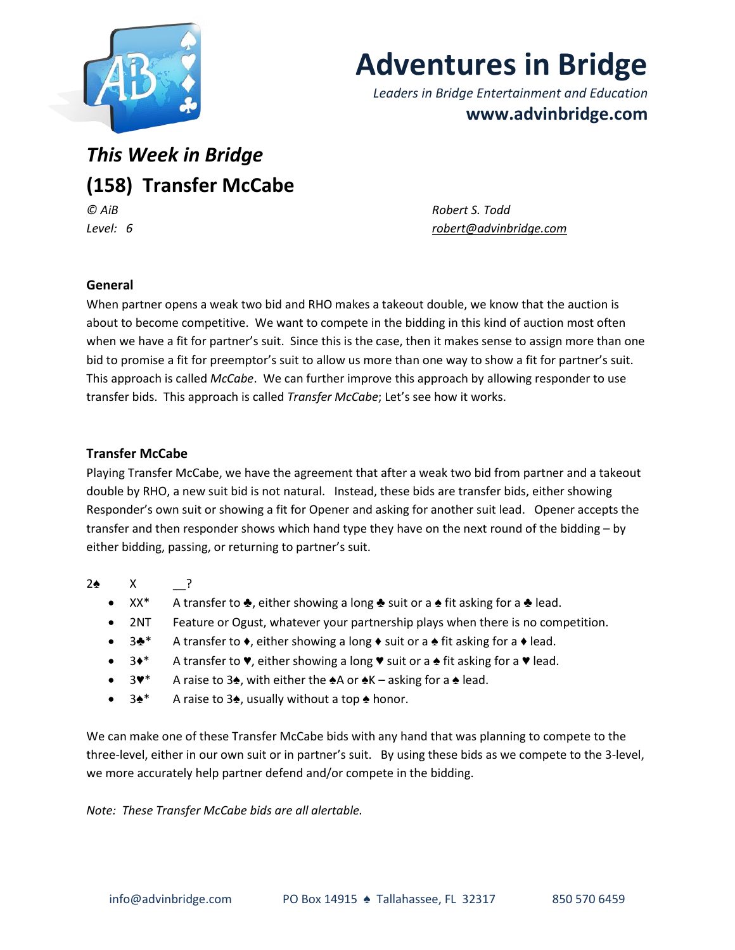

# **Adventures in Bridge**

*Leaders in Bridge Entertainment and Education* **www.advinbridge.com**

## *This Week in Bridge* **(158) Transfer McCabe** *© AiB Robert S. Todd*

*Level: 6 [robert@advinbridge.com](mailto:robert@advinbridge.com)*

#### **General**

When partner opens a weak two bid and RHO makes a takeout double, we know that the auction is about to become competitive. We want to compete in the bidding in this kind of auction most often when we have a fit for partner's suit. Since this is the case, then it makes sense to assign more than one bid to promise a fit for preemptor's suit to allow us more than one way to show a fit for partner's suit. This approach is called *McCabe*. We can further improve this approach by allowing responder to use transfer bids. This approach is called *Transfer McCabe*; Let's see how it works.

#### **Transfer McCabe**

Playing Transfer McCabe, we have the agreement that after a weak two bid from partner and a takeout double by RHO, a new suit bid is not natural. Instead, these bids are transfer bids, either showing Responder's own suit or showing a fit for Opener and asking for another suit lead. Opener accepts the transfer and then responder shows which hand type they have on the next round of the bidding – by either bidding, passing, or returning to partner's suit.

### 2♠ X \_\_?

- XX\* A transfer to ♣, either showing a long ♣ suit or a ♠ fit asking for a ♣ lead.
- 2NT Feature or Ogust, whatever your partnership plays when there is no competition.
- 3♣\* A transfer to ♦, either showing a long ♦ suit or a ♠ fit asking for a ♦ lead.
- 3♦\* A transfer to ♥, either showing a long ♥ suit or a ♠ fit asking for a ♥ lead.
- 3♥\* A raise to 3♠, with either the ♠A or ♠K asking for a ♠ lead.
- 3♠\* A raise to 3♠, usually without a top ♠ honor.

We can make one of these Transfer McCabe bids with any hand that was planning to compete to the three-level, either in our own suit or in partner's suit. By using these bids as we compete to the 3-level, we more accurately help partner defend and/or compete in the bidding.

*Note: These Transfer McCabe bids are all alertable.*